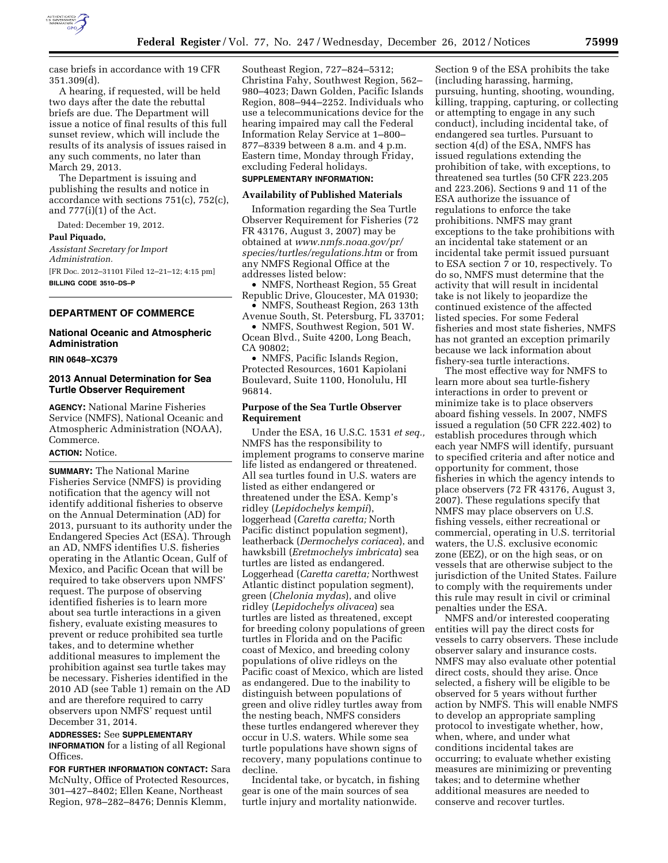

case briefs in accordance with 19 CFR 351.309(d).

A hearing, if requested, will be held two days after the date the rebuttal briefs are due. The Department will issue a notice of final results of this full sunset review, which will include the results of its analysis of issues raised in any such comments, no later than March 29, 2013.

The Department is issuing and publishing the results and notice in accordance with sections 751(c), 752(c), and  $777(i)(1)$  of the Act.

Dated: December 19, 2012.

#### **Paul Piquado,**

*Assistant Secretary for Import Administration.*  [FR Doc. 2012–31101 Filed 12–21–12; 4:15 pm] **BILLING CODE 3510–DS–P** 

#### **DEPARTMENT OF COMMERCE**

#### **National Oceanic and Atmospheric Administration**

**RIN 0648–XC379** 

## **2013 Annual Determination for Sea Turtle Observer Requirement**

**AGENCY:** National Marine Fisheries Service (NMFS), National Oceanic and Atmospheric Administration (NOAA), Commerce.

#### **ACTION:** Notice.

**SUMMARY:** The National Marine Fisheries Service (NMFS) is providing notification that the agency will not identify additional fisheries to observe on the Annual Determination (AD) for 2013, pursuant to its authority under the Endangered Species Act (ESA). Through an AD, NMFS identifies U.S. fisheries operating in the Atlantic Ocean, Gulf of Mexico, and Pacific Ocean that will be required to take observers upon NMFS' request. The purpose of observing identified fisheries is to learn more about sea turtle interactions in a given fishery, evaluate existing measures to prevent or reduce prohibited sea turtle takes, and to determine whether additional measures to implement the prohibition against sea turtle takes may be necessary. Fisheries identified in the 2010 AD (see Table 1) remain on the AD and are therefore required to carry observers upon NMFS' request until December 31, 2014.

## **ADDRESSES:** See **SUPPLEMENTARY INFORMATION** for a listing of all Regional Offices.

**FOR FURTHER INFORMATION CONTACT:** Sara McNulty, Office of Protected Resources, 301–427–8402; Ellen Keane, Northeast Region, 978–282–8476; Dennis Klemm,

Southeast Region, 727–824–5312; Christina Fahy, Southwest Region, 562– 980–4023; Dawn Golden, Pacific Islands Region, 808–944–2252. Individuals who use a telecommunications device for the hearing impaired may call the Federal Information Relay Service at 1–800– 877–8339 between 8 a.m. and 4 p.m. Eastern time, Monday through Friday, excluding Federal holidays.

# **SUPPLEMENTARY INFORMATION:**

#### **Availability of Published Materials**

Information regarding the Sea Turtle Observer Requirement for Fisheries (72 FR 43176, August 3, 2007) may be obtained at *[www.nmfs.noaa.gov/pr/](http://www.nmfs.noaa.gov/pr/species/turtles/regulations.htm)  [species/turtles/regulations.htm](http://www.nmfs.noaa.gov/pr/species/turtles/regulations.htm)* or from any NMFS Regional Office at the addresses listed below:

• NMFS, Northeast Region, 55 Great Republic Drive, Gloucester, MA 01930;

• NMFS, Southeast Region, 263 13th Avenue South, St. Petersburg, FL 33701; • NMFS, Southwest Region, 501 W.

Ocean Blvd., Suite 4200, Long Beach, CA 90802;

• NMFS, Pacific Islands Region, Protected Resources, 1601 Kapiolani Boulevard, Suite 1100, Honolulu, HI 96814.

#### **Purpose of the Sea Turtle Observer Requirement**

Under the ESA, 16 U.S.C. 1531 *et seq.,*  NMFS has the responsibility to implement programs to conserve marine life listed as endangered or threatened. All sea turtles found in U.S. waters are listed as either endangered or threatened under the ESA. Kemp's ridley (*Lepidochelys kempii*), loggerhead (*Caretta caretta;* North Pacific distinct population segment), leatherback (*Dermochelys coriacea*), and hawksbill (*Eretmochelys imbricata*) sea turtles are listed as endangered. Loggerhead (*Caretta caretta;* Northwest Atlantic distinct population segment), green (*Chelonia mydas*), and olive ridley (*Lepidochelys olivacea*) sea turtles are listed as threatened, except for breeding colony populations of green turtles in Florida and on the Pacific coast of Mexico, and breeding colony populations of olive ridleys on the Pacific coast of Mexico, which are listed as endangered. Due to the inability to distinguish between populations of green and olive ridley turtles away from the nesting beach, NMFS considers these turtles endangered wherever they occur in U.S. waters. While some sea turtle populations have shown signs of recovery, many populations continue to decline.

Incidental take, or bycatch, in fishing gear is one of the main sources of sea turtle injury and mortality nationwide.

Section 9 of the ESA prohibits the take (including harassing, harming, pursuing, hunting, shooting, wounding, killing, trapping, capturing, or collecting or attempting to engage in any such conduct), including incidental take, of endangered sea turtles. Pursuant to section 4(d) of the ESA, NMFS has issued regulations extending the prohibition of take, with exceptions, to threatened sea turtles (50 CFR 223.205 and 223.206). Sections 9 and 11 of the ESA authorize the issuance of regulations to enforce the take prohibitions. NMFS may grant exceptions to the take prohibitions with an incidental take statement or an incidental take permit issued pursuant to ESA section 7 or 10, respectively. To do so, NMFS must determine that the activity that will result in incidental take is not likely to jeopardize the continued existence of the affected listed species. For some Federal fisheries and most state fisheries, NMFS has not granted an exception primarily because we lack information about fishery-sea turtle interactions.

The most effective way for NMFS to learn more about sea turtle-fishery interactions in order to prevent or minimize take is to place observers aboard fishing vessels. In 2007, NMFS issued a regulation (50 CFR 222.402) to establish procedures through which each year NMFS will identify, pursuant to specified criteria and after notice and opportunity for comment, those fisheries in which the agency intends to place observers (72 FR 43176, August 3, 2007). These regulations specify that NMFS may place observers on U.S. fishing vessels, either recreational or commercial, operating in U.S. territorial waters, the U.S. exclusive economic zone (EEZ), or on the high seas, or on vessels that are otherwise subject to the jurisdiction of the United States. Failure to comply with the requirements under this rule may result in civil or criminal penalties under the ESA.

NMFS and/or interested cooperating entities will pay the direct costs for vessels to carry observers. These include observer salary and insurance costs. NMFS may also evaluate other potential direct costs, should they arise. Once selected, a fishery will be eligible to be observed for 5 years without further action by NMFS. This will enable NMFS to develop an appropriate sampling protocol to investigate whether, how, when, where, and under what conditions incidental takes are occurring; to evaluate whether existing measures are minimizing or preventing takes; and to determine whether additional measures are needed to conserve and recover turtles.